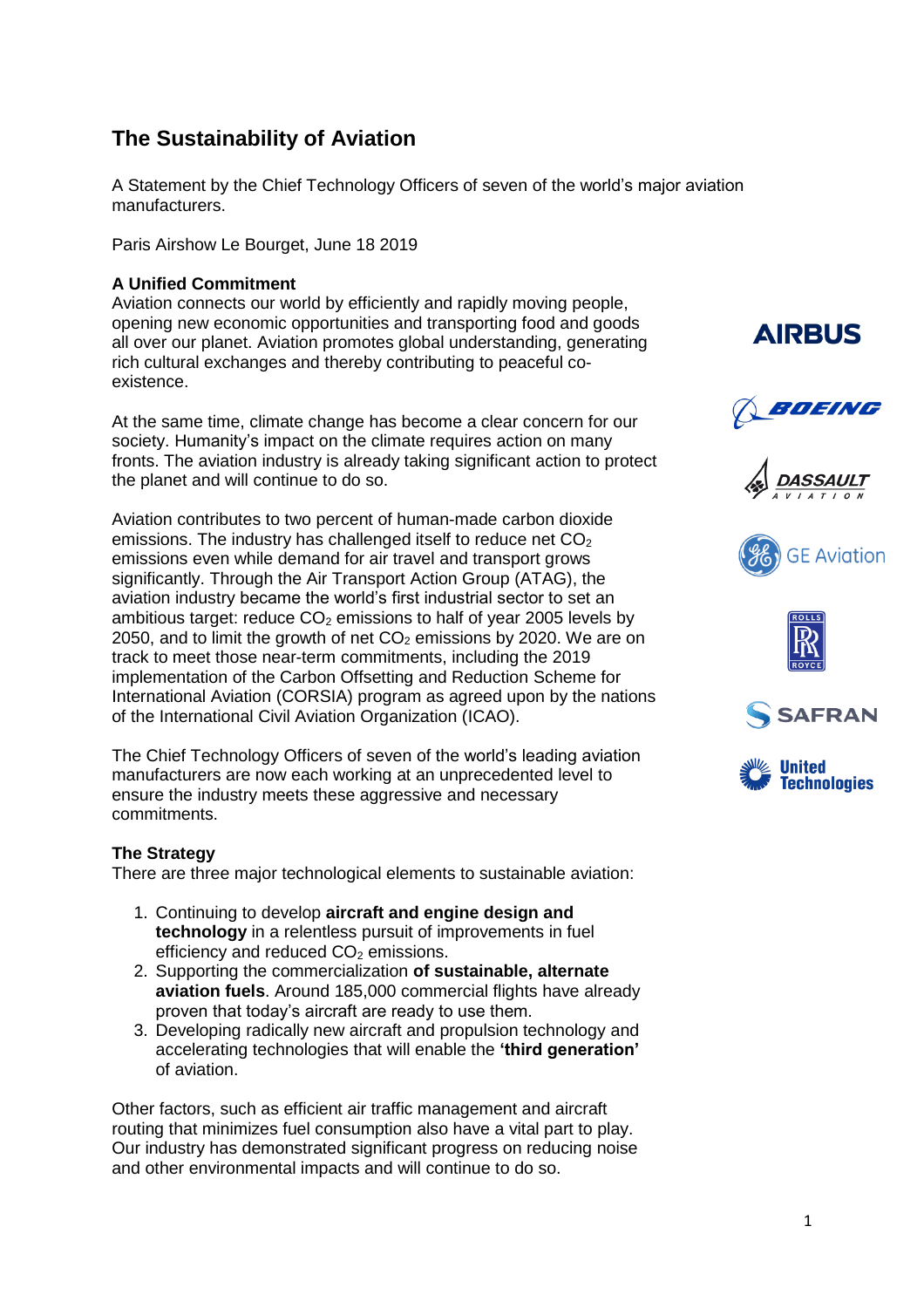# **The Sustainability of Aviation**

A Statement by the Chief Technology Officers of seven of the world's major aviation manufacturers.

Paris Airshow Le Bourget, June 18 2019

# **A Unified Commitment**

Aviation connects our world by efficiently and rapidly moving people, opening new economic opportunities and transporting food and goods all over our planet. Aviation promotes global understanding, generating rich cultural exchanges and thereby contributing to peaceful coexistence.

At the same time, climate change has become a clear concern for our society. Humanity's impact on the climate requires action on many fronts. The aviation industry is already taking significant action to protect the planet and will continue to do so.

Aviation contributes to two percent of human-made carbon dioxide emissions. The industry has challenged itself to reduce net  $CO<sub>2</sub>$ emissions even while demand for air travel and transport grows significantly. Through the Air Transport Action Group (ATAG), the aviation industry became the world's first industrial sector to set an ambitious target: reduce  $CO<sub>2</sub>$  emissions to half of year 2005 levels by 2050, and to limit the growth of net  $CO<sub>2</sub>$  emissions by 2020. We are on track to meet those near-term commitments, including the 2019 implementation of the Carbon Offsetting and Reduction Scheme for International Aviation (CORSIA) program as agreed upon by the nations of the International Civil Aviation Organization (ICAO).

The Chief Technology Officers of seven of the world's leading aviation manufacturers are now each working at an unprecedented level to ensure the industry meets these aggressive and necessary commitments.

### **The Strategy**

There are three major technological elements to sustainable aviation:

- 1. Continuing to develop **aircraft and engine design and technology** in a relentless pursuit of improvements in fuel efficiency and reduced  $CO<sub>2</sub>$  emissions.
- 2. Supporting the commercialization **of sustainable, alternate aviation fuels**. Around 185,000 commercial flights have already proven that today's aircraft are ready to use them.
- 3. Developing radically new aircraft and propulsion technology and accelerating technologies that will enable the **'third generation'** of aviation.

Other factors, such as efficient air traffic management and aircraft routing that minimizes fuel consumption also have a vital part to play. Our industry has demonstrated significant progress on reducing noise and other environmental impacts and will continue to do so.



BOEING









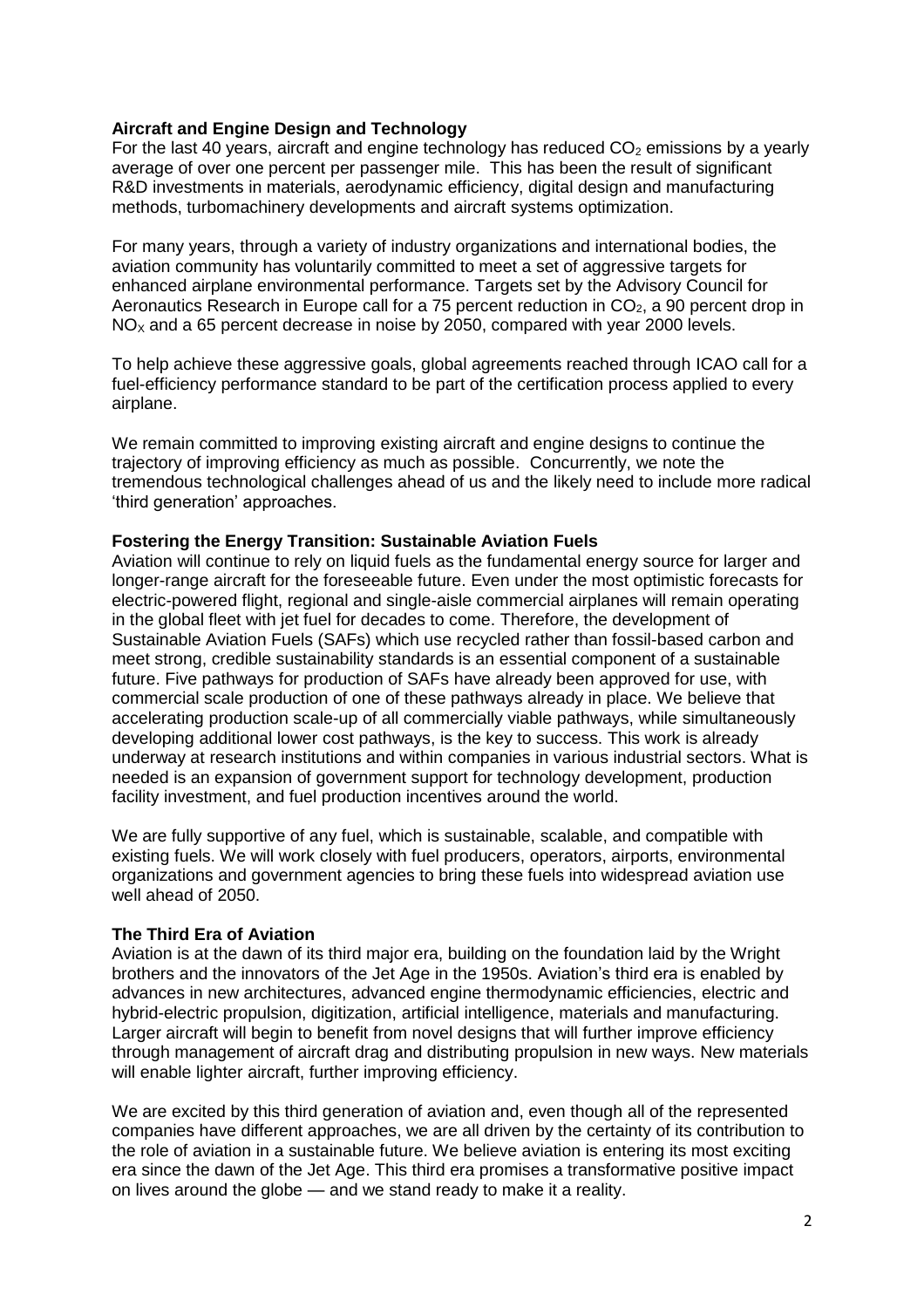## **Aircraft and Engine Design and Technology**

For the last 40 years, aircraft and engine technology has reduced  $CO<sub>2</sub>$  emissions by a yearly average of over one percent per passenger mile. This has been the result of significant R&D investments in materials, aerodynamic efficiency, digital design and manufacturing methods, turbomachinery developments and aircraft systems optimization.

For many years, through a variety of industry organizations and international bodies, the aviation community has voluntarily committed to meet a set of aggressive targets for enhanced airplane environmental performance. Targets set by the Advisory Council for Aeronautics Research in Europe call for a 75 percent reduction in  $CO<sub>2</sub>$ , a 90 percent drop in  $NO<sub>x</sub>$  and a 65 percent decrease in noise by 2050, compared with year 2000 levels.

To help achieve these aggressive goals, global agreements reached through ICAO call for a fuel-efficiency performance standard to be part of the certification process applied to every airplane.

We remain committed to improving existing aircraft and engine designs to continue the trajectory of improving efficiency as much as possible. Concurrently, we note the tremendous technological challenges ahead of us and the likely need to include more radical 'third generation' approaches.

### **Fostering the Energy Transition: Sustainable Aviation Fuels**

Aviation will continue to rely on liquid fuels as the fundamental energy source for larger and longer-range aircraft for the foreseeable future. Even under the most optimistic forecasts for electric-powered flight, regional and single-aisle commercial airplanes will remain operating in the global fleet with jet fuel for decades to come. Therefore, the development of Sustainable Aviation Fuels (SAFs) which use recycled rather than fossil-based carbon and meet strong, credible sustainability standards is an essential component of a sustainable future. Five pathways for production of SAFs have already been approved for use, with commercial scale production of one of these pathways already in place. We believe that accelerating production scale-up of all commercially viable pathways, while simultaneously developing additional lower cost pathways, is the key to success. This work is already underway at research institutions and within companies in various industrial sectors. What is needed is an expansion of government support for technology development, production facility investment, and fuel production incentives around the world.

We are fully supportive of any fuel, which is sustainable, scalable, and compatible with existing fuels. We will work closely with fuel producers, operators, airports, environmental organizations and government agencies to bring these fuels into widespread aviation use well ahead of 2050.

### **The Third Era of Aviation**

Aviation is at the dawn of its third major era, building on the foundation laid by the Wright brothers and the innovators of the Jet Age in the 1950s. Aviation's third era is enabled by advances in new architectures, advanced engine thermodynamic efficiencies, electric and hybrid-electric propulsion, digitization, artificial intelligence, materials and manufacturing. Larger aircraft will begin to benefit from novel designs that will further improve efficiency through management of aircraft drag and distributing propulsion in new ways. New materials will enable lighter aircraft, further improving efficiency.

We are excited by this third generation of aviation and, even though all of the represented companies have different approaches, we are all driven by the certainty of its contribution to the role of aviation in a sustainable future. We believe aviation is entering its most exciting era since the dawn of the Jet Age. This third era promises a transformative positive impact on lives around the globe — and we stand ready to make it a reality.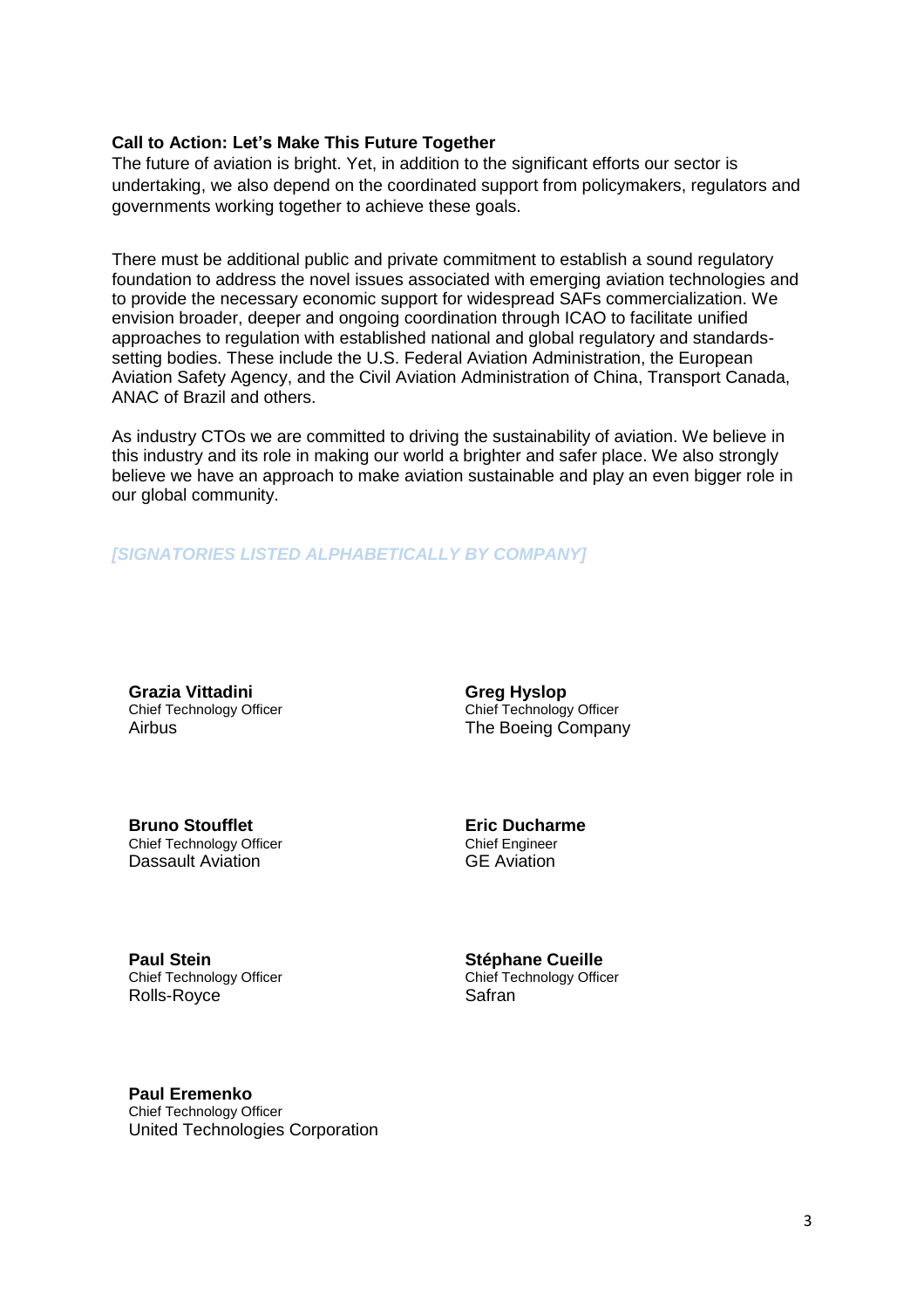#### **Call to Action: Let's Make This Future Together**

The future of aviation is bright. Yet, in addition to the significant efforts our sector is undertaking, we also depend on the coordinated support from policymakers, regulators and governments working together to achieve these goals.

There must be additional public and private commitment to establish a sound regulatory foundation to address the novel issues associated with emerging aviation technologies and to provide the necessary economic support for widespread SAFs commercialization. We envision broader, deeper and ongoing coordination through ICAO to facilitate unified approaches to regulation with established national and global regulatory and standardssetting bodies. These include the U.S. Federal Aviation Administration, the European Aviation Safety Agency, and the Civil Aviation Administration of China, Transport Canada, ANAC of Brazil and others.

As industry CTOs we are committed to driving the sustainability of aviation. We believe in this industry and its role in making our world a brighter and safer place. We also strongly believe we have an approach to make aviation sustainable and play an even bigger role in our global community.

### *[SIGNATORIES LISTED ALPHABETICALLY BY COMPANY]*

**Grazia Vittadini** Chief Technology Officer Airbus

**Greg Hyslop** Chief Technology Officer The Boeing Company

**Bruno Stoufflet** Chief Technology Officer Dassault Aviation

**Eric Ducharme**  Chief Engineer GE Aviation

**Paul Stein** Chief Technology Officer Rolls-Royce

**Stéphane Cueille**  Chief Technology Officer Safran

**Paul Eremenko**

Chief Technology Officer United Technologies Corporation